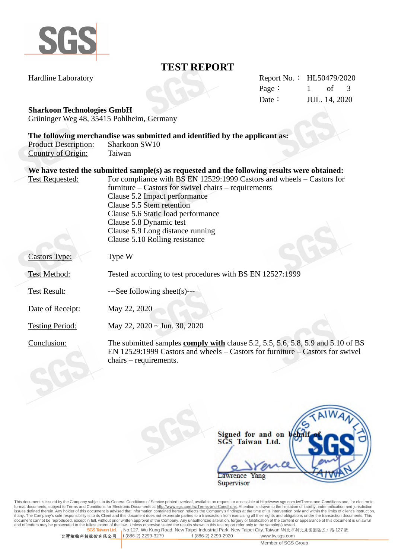

## **TEST REPORT**

Hardline Laboratory Report No.: HL50479/2020 Page: 1 of 3 Date: **JUL.** 14, 2020

#### **Sharkoon Technologies GmbH**

Grüninger Weg 48, 35415 Pohlheim, Germany

|                             | The following merchandise was submitted and identified by the applicant as:                  |
|-----------------------------|----------------------------------------------------------------------------------------------|
| <b>Product Description:</b> | Sharkoon SW10                                                                                |
| Country of Origin:          | Taiwan                                                                                       |
|                             |                                                                                              |
|                             | We have tested the submitted sample(s) as requested and the following results were obtained: |
| <b>Test Requested:</b>      | For compliance with BS EN 12529:1999 Castors and wheels – Castors for                        |
|                             | furniture $-$ Castors for swivel chairs $-$ requirements                                     |

Clause 5.2 Impact performance

Clause 5.5 Stem retention Clause 5.6 Static load performance Clause 5.8 Dynamic test Clause 5.9 Long distance running Clause 5.10 Rolling resistance Castors Type: Type W Test Method: Tested according to test procedures with BS EN 12527:1999 Test Result: ---See following sheet(s)---Date of Receipt: May 22, 2020 Testing Period: May 22, 2020 ~ Jun. 30, 2020 Conclusion: The submitted samples **comply with** clause 5.2, 5.5, 5.6, 5.8, 5.9 and 5.10 of BS

> EN 12529:1999 Castors and wheels – Castors for furniture – Castors for swivel chairs – requirements.

|                                        | AIWA |  |
|----------------------------------------|------|--|
| Signed for and on b<br>SGS Taiwan Ltd. |      |  |
| <b>Lawrence Yang</b>                   |      |  |
| Supervisor                             |      |  |

This document is issued by the Company subject to its General Conditions of Service printed overleaf, available on request or accessible at http://www.sqs.com.tw/Terms-and-Conditions and, for electronic format documents, subject to Terms and Conditions for Electronic Documents at http://www.sgs.com.tw/Terms-and-Conditions. Attention is drawn to the limitation of liability, indemnification and jurisdiction issues defined therein. Any holder of this document is advised that information contained hereon reflects the Company's findings at the time of its intervention only and within the limits of client's instruction, if any. T **SGS Taiwan Ltd.** No.127, Wu Kung Road, New Taipei Industrial Park, New Taipei City, Taiwan /新北市新北產業園區五工路 127 號

台灣檢驗科技股份有限公司 t (886-2) 2299-3279 f (886-2) 2299-2920 www.tw.sgs.com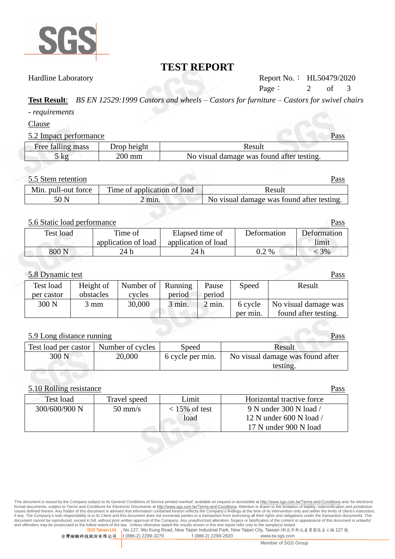

## **TEST REPORT**

Hardline Laboratory Report No.: HL50479/2020 Page: 2 of 3

**Test Result**: *BS EN 12529:1999 Castors and wheels – Castors for furniture – Castors for swivel chairs*

*- requirements*

Clause

#### 5.2 Impact performance Pass

|                   |             | .                                         |
|-------------------|-------------|-------------------------------------------|
| Free falling mass | Drop height | Result                                    |
| $\zeta$ kg        | 200 mm      | No visual damage was found after testing. |

#### 5.5 Stem retention Pass

|                     |                             | - ----                                    |
|---------------------|-----------------------------|-------------------------------------------|
| Min. pull-out force | Time of application of load | Result                                    |
| 50 N                | $\angle$ min.               | No visual damage was found after testing. |

#### 5.6 Static load performance Pass

| $ -$                 |                     |                     |             |             |
|----------------------|---------------------|---------------------|-------------|-------------|
| Time of<br>Test load |                     | Elapsed time of     | Deformation | Deformation |
|                      | application of load | application of load |             | limit       |
| 800 <sub>N</sub>     | 24 h                | 24 h                | $0.2\ \%$   | 3%          |

#### 5.8 Dynamic test Pass

| $3.0$ D virainly tose |                |                     |        |        | <b>L</b> CLUD |                      |
|-----------------------|----------------|---------------------|--------|--------|---------------|----------------------|
| Test load             | Height of      | Number of   Running |        | Pause  | Speed         | Result               |
| per castor            | obstacles      | cycles              | period | period |               |                      |
| 300 N                 | $3 \text{ mm}$ | 30,000              | 3 min. | 2 min. | 6 cycle       | No visual damage was |
|                       |                |                     |        |        | per min.      | found after testing. |

### 5.9 Long distance running Pass Test load per castor Number of cycles Speed Result 300 N 20,000 6 cycle per min. No visual damage was found after testing.

#### 5.10 Rolling resistance Pass

| Test load     | Travel speed      | Limit                   | Horizontal tractive force                         |
|---------------|-------------------|-------------------------|---------------------------------------------------|
| 300/600/900 N | $50 \text{ mm/s}$ | $<$ 15% of test<br>load | 9 N under 300 N load /<br>12 N under 600 N load / |
|               |                   |                         | 17 N under 900 N load                             |

This document is issued by the Company subject to its General Conditions of Service printed overleaf, available on request or accessible at http://www.sqs.com.tw/Terms-and-Conditions and, for electronic format documents, subject to Terms and Conditions for Electronic Documents at http://www.sgs.com.tw/Terms-and-Conditions. Attention is drawn to the limitation of liability, indemnification and jurisdiction issues defined therein. Any holder of this document is advised that information contained hereon reflects the Company's findings at the time of its intervention only and within the limits of client's instruction, if any. T **SGS Taiwan Ltd.** No.127, Wu Kung Road, New Taipei Industrial Park, New Taipei City, Taiwan /新北市新北產業園區五工路 127 號

台灣檢驗科技股份有限公司 t (886-2) 2299-3279 f (886-2) 2299-2920 www.tw.sgs.com